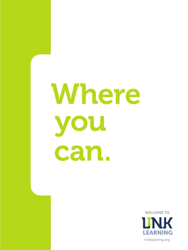# Where OU can.

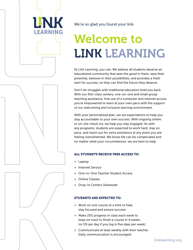

We're so glad you found your link.

# Welcome to LINK LEARNING

At Link Learning, you can. We believe all students deserve an educational community that sees the good in them, sees their potential, believes in their possibilities, and provides a fresh start for success, so they can find the future they deserve.

Don't let struggles with traditional education hold you back. With our first-class centers, one-on-one and small group teaching assistance, free use of a computer and internet access, you're empowered to learn at your own pace with the support of our welcoming and inclusive learning environment.

With your personalized plan, we set expectations to help you stay accountable to your own success. With ongoing online or on-site check ins, we help you stay engaged. As with any programs, students are expected to work hard, stay on pace, and reach out for extra assistance at any point you are feeling overwhelmed. We know life can be complicated and no matter what your circumstances, we are here to help.

#### ALL STUDENTS RECEIVE FREE ACCESS TO:

- + Laptop
- + Internet Service
- + One-to-One Teacher Student Access
- + Online Classes
- + Drop-In Centers Statewide

#### STUDENTS ARE EXPECTED TO:

- + Work on one course at a time to help stay focused and ensure success
- + Make 25% progress in class each week to keep on track to finish a course in 4 weeks (or 5% per day if you log in five days per week)
- + Communicate at least weekly with their teacher. Daily communication is encouraged.

linklearning.org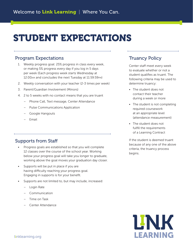## STUDENT EXPECTATIONS

#### Program Expectations

- 1. Weekly progress goal: 25% progress in class every week, or making 5% progress every day if you log in 5 days per week (Each progress week starts Wednesday at 12:00am and concludes the next Tuesday at 11:59:59pm)
- 2. Weekly conversation with your teacher (2-3 times per week)
- 3. Parent/Guardian Involvement (Minors)
- 4. 2 to 5 weeks with no contact means that you are truant
	- Phone Call, Text message, Center Attendance
	- Pulse Communications Application
	- Google Hangouts
	- Email

#### Supports from Staff

- Progress goals are established so that you will complete 12 classes over the course of the school year. Working below your progress goal will take you longer to graduate, working above the goal moves your graduation day closer.
- Supports will be put in place if you are having difficulty reaching your progress goal. Engaging in supports is for your benefit.
- Supports are not limited to, but may include, increased:
	- Login Rate
	- Communication
	- Time on Task
	- Center Attendance

#### Truancy Policy

Center staff meet every week to evaluate whether or not a student qualifies as truant. The following criteria may be used to determine truancy:

- The student does not contact their teacher during a week or more
- The student is not completing required coursework at an appropriate level (attendance measurement)
- The student does not fulfill the requirements of a Learning Contract

If the student is deemed truant because of any one of the above criteria, the truancy process begins.

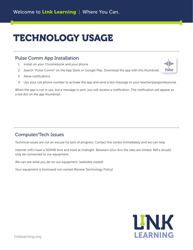## TECHNOLOGY USAGE

#### Pulse Comm App Installation

- 1. Install on your Chromebook and your phone
- 2. Search "Pulse Comm" on the App Store or Google Play. Download the app with this thumbnail.
- 3. Allow notifications
- 4. Use your cell phone number to activate the app and send a test message to your teacher/paraprofessional.

When the app is not in use, but a message is sent, you will receive a notification. The notification will appear as a red dot on the app thumbnail.

#### Computer/Tech Issues

Technical issues are not an excuse for lack of progress. Contact the center immediately and we can help.

Internet mifi's have a 500MB limit and reset at midnight. Between 12am-6am the sites are limited. Mifi's should only be connected to our equipment.

We can see what you do on our equipment. (websites visited)

Your equipment is borrowed not owned (Review Technology Policy)



allie

**Pulse**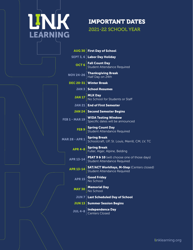

IMPORTANT DATES 2021-22 SCHOOL YEAR

| AUG 30 First Day of School                                                                           |
|------------------------------------------------------------------------------------------------------|
| SEPT 3, 6 Labor Day Holiday                                                                          |
| <b>OCT 6 Fall Count Day</b><br>Student Attendance Required                                           |
| NOV 24-26 Thanksgiving Break                                                                         |
| DEC 20-31 Winter Break                                                                               |
| JAN 3 School Resumes                                                                                 |
| <b>JAN 17 MLK Day</b><br>No School for Students or Staff                                             |
| JAN 21 End of First Semester                                                                         |
| JAN 24 Second Semester Begins                                                                        |
| FEB 1 - MAR 19 WIDA Testing Window<br>Specific dates will be announced                               |
| FEB 9 Spring Count Day<br>Student Attendance Required                                                |
| <b>MAR 28 - APR 1 Spring Break</b><br>MAR 28 - APR 1 Schoolcraft, UP, St. Louis, Merrill, CM, LV, TC |
| <b>APR 4-8 Spring Break</b><br>Fuller, Alger, Alpine, Belding                                        |
| <b>APR 13-14</b> Student Attendance Required                                                         |
| <b>APR 13-14</b> SAT/ACT WorkKeys, M-Step (Centers closed)<br>Student Attendance Required            |
| <b>APR 15</b> Good Friday                                                                            |
| <b>MAY 30</b> Memorial Day                                                                           |
| JUN 7 Last Scheduled Day of School                                                                   |
| <b>JUN 13 Summer Session Begins</b>                                                                  |
| <b>JUL 4-8</b>   Independence Day                                                                    |
|                                                                                                      |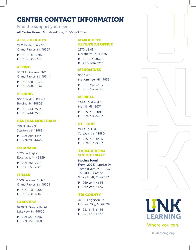### CENTER CONTACT INFORMATION

Find the support you need

All Center Hours: Monday–Friday 8:00am–3:00pm

#### ALGER HEIGHTS

2431 Eastern Ave SE Grand Rapids, MI 49507

P | 616-350-9896 F | 616-350-9761

#### ALPINE

3563 Alpine Ave. NW Grand Rapids, MI 49544

P | 616-570-0248 F | 616-570-0634

#### BELDING

9057 Belding Rd. #2 Belding, MI 48809

P | 616-244-3553 F | 616-244-3551

#### CENTRAL MONTCALM

710 N. State St. Stanton, MI 48888 P | 989-283-1444 F | 989-283-1446

#### ESCANABA

1620 Ludington Escanaba, MI 49829

P | 906-553-7979 F | 906-553-7981

#### FULLER

1309 Leonard St. NE Grand Rapids, MI 49503

P | 616-228-4805 F | 616-228-4807

#### LAKEVIEW

9720 N. Greenville Rd. Lakeview, MI 48850

P | 989-352-5466 F | 989-352-5468

#### **MARQUETTE** EXTENSION OFFICE

2170 US 41 Marquette, MI 49855 P | 906-273-0497

F | 906-366-6700

#### MENOMINEE

955 1st St. Menominee, MI 49858

P | 906-352-4363 F | 906-352-4096

#### MERRILL

148 N. Midland St. Merrill, MI 48637 P | 989-715-2083

F | 989-794-5907

#### ST. LOUIS

227 N. Mill St. St. Louis, MI 48880 P | 989-681-8385 F | 989-681-8387

#### THREE RIVERS/ **SCHOOLCRAFT**

Moving Soon! From: 210 Enterprise Dr. Three Rivers, MI 49093 To: 300 E. Cass St. Schoolcraft, MI 49087

P | 269-244-4656 F | 269-244-4653

#### TRI COUNTY

412 E. Edgerton Rd. Howard City, MI 49329

P | 231-648-6466 F | 231-648-6467







Where you can.

**LEARNING** 

linklearning.org